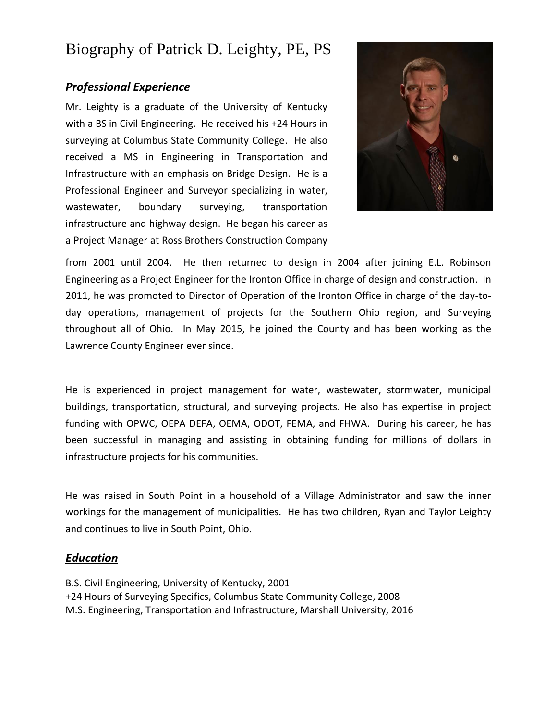# Biography of Patrick D. Leighty, PE, PS

## *Professional Experience*

Mr. Leighty is a graduate of the University of Kentucky with a BS in Civil Engineering. He received his +24 Hours in surveying at Columbus State Community College. He also received a MS in Engineering in Transportation and Infrastructure with an emphasis on Bridge Design. He is a Professional Engineer and Surveyor specializing in water, wastewater, boundary surveying, transportation infrastructure and highway design. He began his career as a Project Manager at Ross Brothers Construction Company



from 2001 until 2004. He then returned to design in 2004 after joining E.L. Robinson Engineering as a Project Engineer for the Ironton Office in charge of design and construction. In 2011, he was promoted to Director of Operation of the Ironton Office in charge of the day-today operations, management of projects for the Southern Ohio region, and Surveying throughout all of Ohio. In May 2015, he joined the County and has been working as the Lawrence County Engineer ever since.

He is experienced in project management for water, wastewater, stormwater, municipal buildings, transportation, structural, and surveying projects. He also has expertise in project funding with OPWC, OEPA DEFA, OEMA, ODOT, FEMA, and FHWA. During his career, he has been successful in managing and assisting in obtaining funding for millions of dollars in infrastructure projects for his communities.

He was raised in South Point in a household of a Village Administrator and saw the inner workings for the management of municipalities. He has two children, Ryan and Taylor Leighty and continues to live in South Point, Ohio.

### *Education*

B.S. Civil Engineering, University of Kentucky, 2001 +24 Hours of Surveying Specifics, Columbus State Community College, 2008 M.S. Engineering, Transportation and Infrastructure, Marshall University, 2016